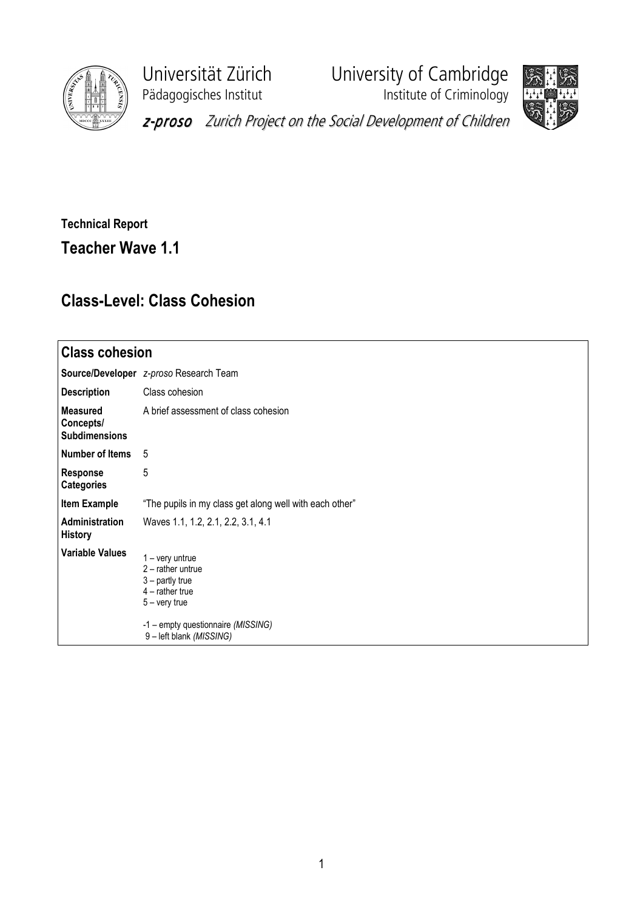

Pädagogisches Institut **Institute of Criminology** 

Universität Zürich University of Cambridge



z-proso Zurich Project on the Social Development of Children

## Technical Report Teacher Wave 1.1

## Class-Level: Class Cohesion

| <b>Class cohesion</b>                                |                                                                                                                                                                       |  |  |  |  |  |
|------------------------------------------------------|-----------------------------------------------------------------------------------------------------------------------------------------------------------------------|--|--|--|--|--|
|                                                      | Source/Developer z-proso Research Team                                                                                                                                |  |  |  |  |  |
| <b>Description</b>                                   | Class cohesion                                                                                                                                                        |  |  |  |  |  |
| <b>Measured</b><br>Concepts/<br><b>Subdimensions</b> | A brief assessment of class cohesion                                                                                                                                  |  |  |  |  |  |
| Number of Items                                      | 5                                                                                                                                                                     |  |  |  |  |  |
| <b>Response</b><br><b>Categories</b>                 | 5                                                                                                                                                                     |  |  |  |  |  |
| <b>Item Example</b>                                  | "The pupils in my class get along well with each other"                                                                                                               |  |  |  |  |  |
| Administration<br><b>History</b>                     | Waves 1.1, 1.2, 2.1, 2.2, 3.1, 4.1                                                                                                                                    |  |  |  |  |  |
| <b>Variable Values</b>                               | 1 – very untrue<br>$2$ – rather untrue<br>$3$ – partly true<br>$4$ – rather true<br>$5 -$ very true<br>-1 - empty questionnaire (MISSING)<br>9 - left blank (MISSING) |  |  |  |  |  |